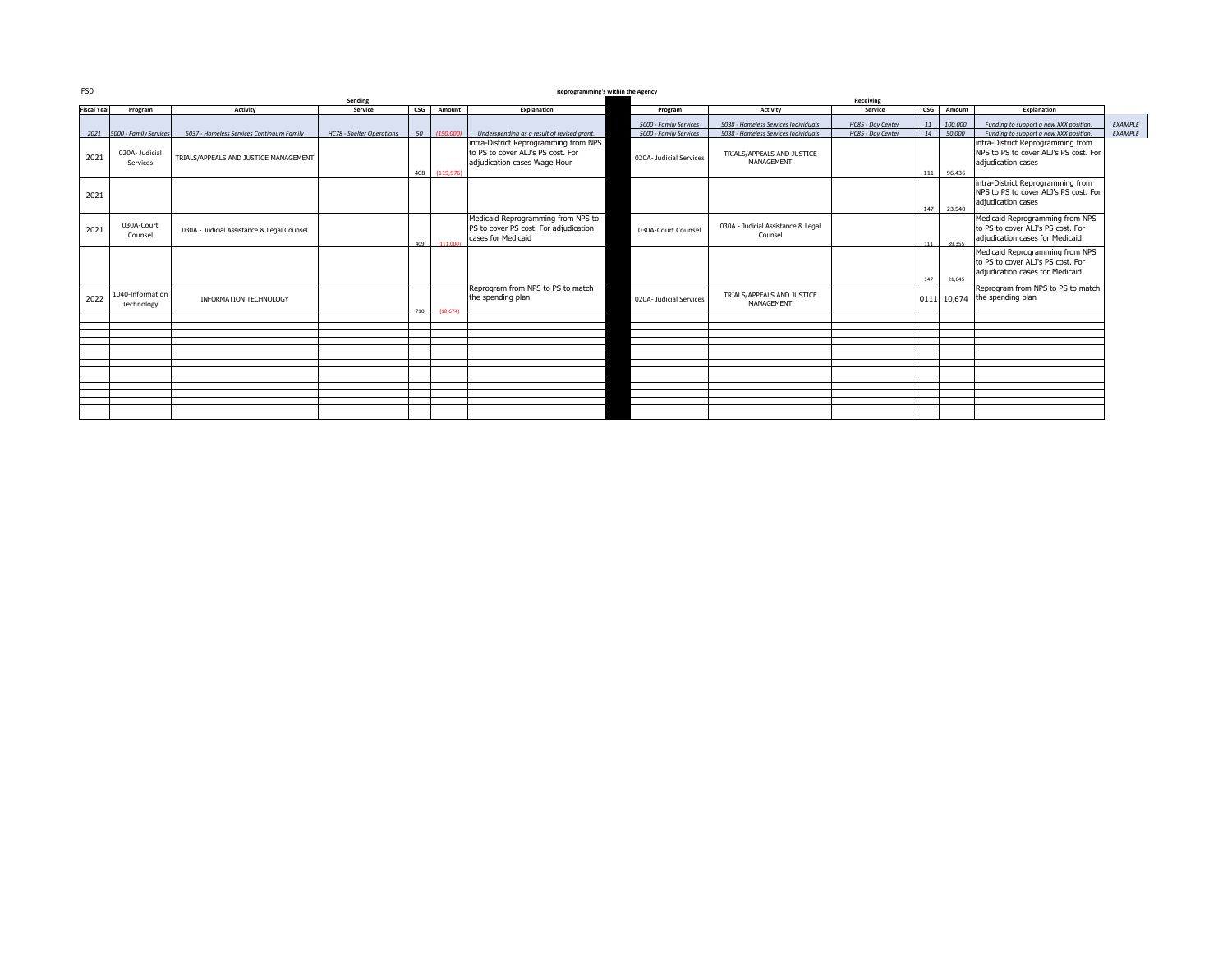| FS0                | Reprogramming's within the Agency |                                            |                           |                                            |            |                                                                                                            |                         |                                               |                   |                       |            |                                                                                                         |         |
|--------------------|-----------------------------------|--------------------------------------------|---------------------------|--------------------------------------------|------------|------------------------------------------------------------------------------------------------------------|-------------------------|-----------------------------------------------|-------------------|-----------------------|------------|---------------------------------------------------------------------------------------------------------|---------|
|                    | Sending                           |                                            |                           |                                            |            |                                                                                                            | Receiving               |                                               |                   |                       |            |                                                                                                         |         |
| <b>Fiscal Year</b> | Program                           | <b>Activity</b>                            | Service                   | $\mathsf{c}\mathsf{s}\mathsf{c}\mathsf{s}$ | Amount     | Explanation                                                                                                | Program                 | Activity                                      | Service           | $\mathsf{CSG}\xspace$ | Amount     | Explanation                                                                                             |         |
|                    |                                   |                                            |                           |                                            |            |                                                                                                            | 5000 - Family Services  | 5038 - Homeless Services Individuals          | HC85 - Day Center | 11                    | 100,000    | Funding to support a new XXX position.                                                                  | EXAMPLE |
|                    | 2021 5000 - Family Services       | 5037 - Homeless Services Continuum Family  | HC78 - Shelter Operations | 50 l                                       | (150,000)  | Underspending as a result of revised grant.                                                                | 5000 - Family Services  | 5038 - Homeless Services Individuals          | HC85 - Day Center | 14                    | 50,000     | Funding to support a new XXX position.                                                                  | EXAMPLE |
| 2021               | 020A-Judicial<br>Services         | TRIALS/APPEALS AND JUSTICE MANAGEMENT      |                           | 408                                        | (119, 976) | intra-District Reprogramming from NPS<br>to PS to cover ALJ's PS cost. For<br>adjudication cases Wage Hour | 020A- Judicial Services | TRIALS/APPEALS AND JUSTICE<br>MANAGEMENT      |                   | 111                   | 96,436     | intra-District Reprogramming from<br>NPS to PS to cover ALJ's PS cost. For<br>adjudication cases        |         |
| 2021               |                                   |                                            |                           |                                            |            |                                                                                                            |                         |                                               |                   |                       | 147 23.540 | intra-District Reprogramming from<br>NPS to PS to cover ALJ's PS cost. For<br>adjudication cases        |         |
| 2021               | 030A-Court<br>Counsel             | 030A - Judicial Assistance & Legal Counsel |                           | 409                                        | (111.000)  | Medicaid Reprogramming from NPS to<br>PS to cover PS cost. For adjudication<br>cases for Medicaid          | 030A-Court Counsel      | 030A - Judicial Assistance & Legal<br>Counsel |                   |                       | 111 89.355 | Medicaid Reprogramming from NPS<br>to PS to cover ALJ's PS cost. For<br>adiudication cases for Medicaid |         |
|                    |                                   |                                            |                           |                                            |            |                                                                                                            |                         |                                               |                   |                       | 147 21.645 | Medicaid Reprogramming from NPS<br>to PS to cover ALJ's PS cost. For<br>adiudication cases for Medicaid |         |
| 2022               | 1040-Information<br>Technology    | INFORMATION TECHNOLOGY                     |                           | 710                                        | (10.674)   | Reprogram from NPS to PS to match<br>the spending plan                                                     | 020A- Judicial Services | TRIALS/APPEALS AND JUSTICE<br>MANAGEMENT      |                   |                       |            | Reprogram from NPS to PS to match<br>0111 10,674 the spending plan                                      |         |
|                    |                                   |                                            |                           |                                            |            |                                                                                                            |                         |                                               |                   |                       |            |                                                                                                         |         |
|                    |                                   |                                            |                           |                                            |            |                                                                                                            |                         |                                               |                   |                       |            |                                                                                                         |         |
|                    |                                   |                                            |                           |                                            |            |                                                                                                            |                         |                                               |                   |                       |            |                                                                                                         |         |
|                    |                                   |                                            |                           |                                            |            |                                                                                                            |                         |                                               |                   |                       |            |                                                                                                         |         |
|                    |                                   |                                            |                           |                                            |            |                                                                                                            |                         |                                               |                   |                       |            |                                                                                                         |         |
|                    |                                   |                                            |                           |                                            |            |                                                                                                            |                         |                                               |                   |                       |            |                                                                                                         |         |
|                    |                                   |                                            |                           |                                            |            |                                                                                                            |                         |                                               |                   |                       |            |                                                                                                         |         |
|                    |                                   |                                            |                           |                                            |            |                                                                                                            |                         |                                               |                   |                       |            |                                                                                                         |         |
|                    |                                   |                                            |                           |                                            |            |                                                                                                            |                         |                                               |                   |                       |            |                                                                                                         |         |
|                    |                                   |                                            |                           |                                            |            |                                                                                                            |                         |                                               |                   |                       |            |                                                                                                         |         |
|                    |                                   |                                            |                           |                                            |            |                                                                                                            |                         |                                               |                   |                       |            |                                                                                                         |         |